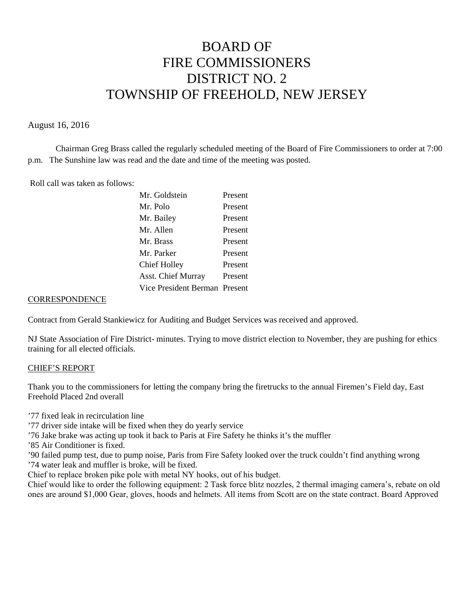# BOARD OF FIRE COMMISSIONERS DISTRICT NO. 2 TOWNSHIP OF FREEHOLD, NEW JERSEY

### August 16, 2016

Chairman Greg Brass called the regularly scheduled meeting of the Board of Fire Commissioners to order at 7:00 p.m. The Sunshine law was read and the date and time of the meeting was posted.

Roll call was taken as follows:

| Mr. Goldstein                 | Present |
|-------------------------------|---------|
| Mr. Polo                      | Present |
| Mr. Bailey                    | Present |
| Mr. Allen                     | Present |
| Mr. Brass                     | Present |
| Mr. Parker                    | Present |
| <b>Chief Holley</b>           | Present |
| <b>Asst. Chief Murray</b>     | Present |
| Vice President Berman Present |         |
|                               |         |

#### **CORRESPONDENCE**

Contract from Gerald Stankiewicz for Auditing and Budget Services was received and approved.

NJ State Association of Fire District- minutes. Trying to move district election to November, they are pushing for ethics training for all elected officials.

#### CHIEF'S REPORT

Thank you to the commissioners for letting the company bring the firetrucks to the annual Firemen's Field day, East Freehold Placed 2nd overall

'77 fixed leak in recirculation line

'77 driver side intake will be fixed when they do yearly service

'76 Jake brake was acting up took it back to Paris at Fire Safety he thinks it's the muffler

'85 Air Conditioner is fixed.

'90 failed pump test, due to pump noise, Paris from Fire Safety looked over the truck couldn't find anything wrong '74 water leak and muffler is broke, will be fixed.

Chief to replace broken pike pole with metal NY hooks, out of his budget.

Chief would like to order the following equipment: 2 Task force blitz nozzles, 2 thermal imaging camera's, rebate on old ones are around \$1,000 Gear, gloves, hoods and helmets. All items from Scott are on the state contract. Board Approved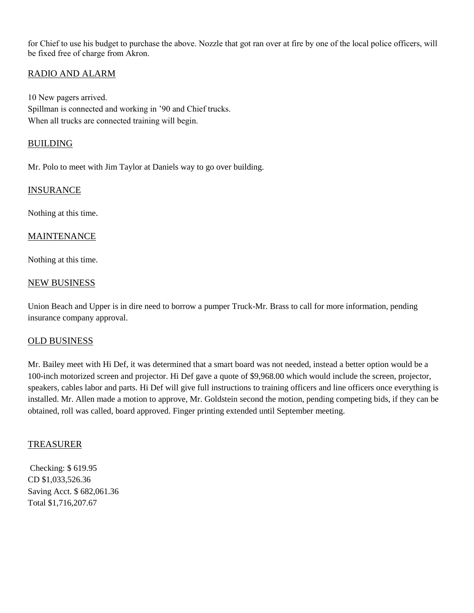for Chief to use his budget to purchase the above. Nozzle that got ran over at fire by one of the local police officers, will be fixed free of charge from Akron.

## RADIO AND ALARM

10 New pagers arrived. Spillman is connected and working in '90 and Chief trucks. When all trucks are connected training will begin.

## BUILDING

Mr. Polo to meet with Jim Taylor at Daniels way to go over building.

#### INSURANCE

Nothing at this time.

## MAINTENANCE

Nothing at this time.

#### NEW BUSINESS

Union Beach and Upper is in dire need to borrow a pumper Truck-Mr. Brass to call for more information, pending insurance company approval.

#### OLD BUSINESS

Mr. Bailey meet with Hi Def, it was determined that a smart board was not needed, instead a better option would be a 100-inch motorized screen and projector. Hi Def gave a quote of \$9,968.00 which would include the screen, projector, speakers, cables labor and parts. Hi Def will give full instructions to training officers and line officers once everything is installed. Mr. Allen made a motion to approve, Mr. Goldstein second the motion, pending competing bids, if they can be obtained, roll was called, board approved. Finger printing extended until September meeting.

#### TREASURER

Checking: \$ 619.95 CD \$1,033,526.36 Saving Acct. \$ 682,061.36 Total \$1,716,207.67